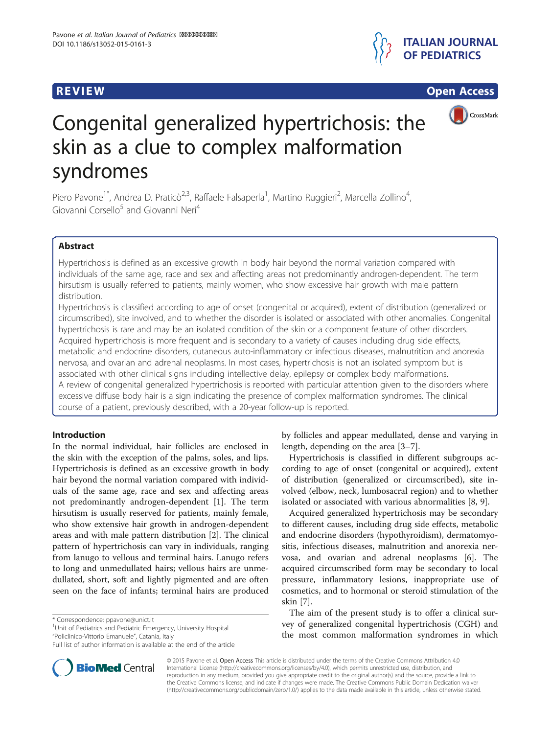

**REVIEW CONSTRUCTION CONSTRUCTION CONSTRUCTS** 



# Congenital generalized hypertrichosis: the skin as a clue to complex malformation syndromes

Piero Pavone<sup>1\*</sup>, Andrea D. Praticò<sup>2,3</sup>, Raffaele Falsaperla<sup>1</sup>, Martino Ruggieri<sup>2</sup>, Marcella Zollino<sup>4</sup> , Giovanni Corsello<sup>5</sup> and Giovanni Neri<sup>4</sup>

# Abstract

Hypertrichosis is defined as an excessive growth in body hair beyond the normal variation compared with individuals of the same age, race and sex and affecting areas not predominantly androgen-dependent. The term hirsutism is usually referred to patients, mainly women, who show excessive hair growth with male pattern distribution.

Hypertrichosis is classified according to age of onset (congenital or acquired), extent of distribution (generalized or circumscribed), site involved, and to whether the disorder is isolated or associated with other anomalies. Congenital hypertrichosis is rare and may be an isolated condition of the skin or a component feature of other disorders. Acquired hypertrichosis is more frequent and is secondary to a variety of causes including drug side effects, metabolic and endocrine disorders, cutaneous auto-inflammatory or infectious diseases, malnutrition and anorexia nervosa, and ovarian and adrenal neoplasms. In most cases, hypertrichosis is not an isolated symptom but is associated with other clinical signs including intellective delay, epilepsy or complex body malformations. A review of congenital generalized hypertrichosis is reported with particular attention given to the disorders where excessive diffuse body hair is a sign indicating the presence of complex malformation syndromes. The clinical course of a patient, previously described, with a 20-year follow-up is reported.

# Introduction

In the normal individual, hair follicles are enclosed in the skin with the exception of the palms, soles, and lips. Hypertrichosis is defined as an excessive growth in body hair beyond the normal variation compared with individuals of the same age, race and sex and affecting areas not predominantly androgen-dependent [\[1\]](#page-6-0). The term hirsutism is usually reserved for patients, mainly female, who show extensive hair growth in androgen-dependent areas and with male pattern distribution [[2\]](#page-6-0). The clinical pattern of hypertrichosis can vary in individuals, ranging from lanugo to vellous and terminal hairs. Lanugo refers to long and unmedullated hairs; vellous hairs are unmedullated, short, soft and lightly pigmented and are often seen on the face of infants; terminal hairs are produced

\* Correspondence: [ppavone@unict.it](mailto:ppavone@unict.it) <sup>1</sup>

<sup>1</sup>Unit of Pediatrics and Pediatric Emergency, University Hospital "Policlinico-Vittorio Emanuele", Catania, Italy



Hypertrichosis is classified in different subgroups according to age of onset (congenital or acquired), extent of distribution (generalized or circumscribed), site involved (elbow, neck, lumbosacral region) and to whether isolated or associated with various abnormalities [\[8](#page-6-0), [9](#page-6-0)].

Acquired generalized hypertrichosis may be secondary to different causes, including drug side effects, metabolic and endocrine disorders (hypothyroidism), dermatomyositis, infectious diseases, malnutrition and anorexia nervosa, and ovarian and adrenal neoplasms [[6\]](#page-6-0). The acquired circumscribed form may be secondary to local pressure, inflammatory lesions, inappropriate use of cosmetics, and to hormonal or steroid stimulation of the skin [[7](#page-6-0)].

The aim of the present study is to offer a clinical survey of generalized congenital hypertrichosis (CGH) and the most common malformation syndromes in which



Full list of author information is available at the end of the article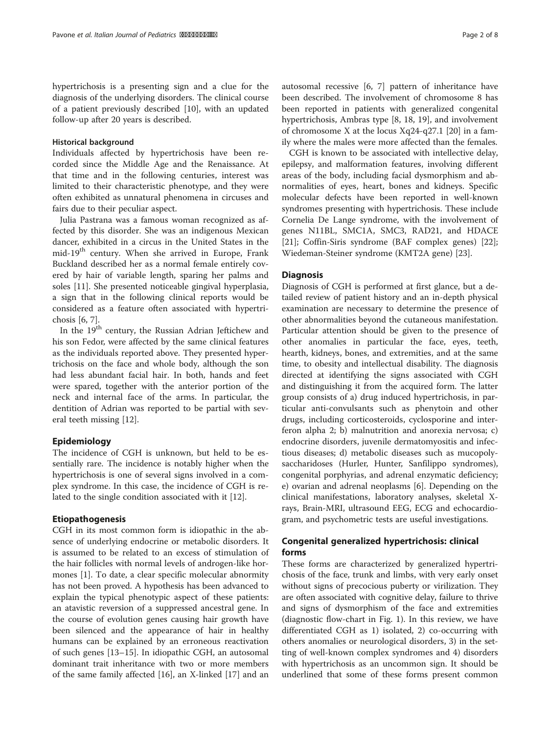hypertrichosis is a presenting sign and a clue for the diagnosis of the underlying disorders. The clinical course of a patient previously described [\[10\]](#page-6-0), with an updated follow-up after 20 years is described.

#### Historical background

Individuals affected by hypertrichosis have been recorded since the Middle Age and the Renaissance. At that time and in the following centuries, interest was limited to their characteristic phenotype, and they were often exhibited as unnatural phenomena in circuses and fairs due to their peculiar aspect.

Julia Pastrana was a famous woman recognized as affected by this disorder. She was an indigenous Mexican dancer, exhibited in a circus in the United States in the mid-19<sup>th</sup> century. When she arrived in Europe, Frank Buckland described her as a normal female entirely covered by hair of variable length, sparing her palms and soles [[11\]](#page-6-0). She presented noticeable gingival hyperplasia, a sign that in the following clinical reports would be considered as a feature often associated with hypertrichosis [[6, 7\]](#page-6-0).

In the 19<sup>th</sup> century, the Russian Adrian Jeftichew and his son Fedor, were affected by the same clinical features as the individuals reported above. They presented hypertrichosis on the face and whole body, although the son had less abundant facial hair. In both, hands and feet were spared, together with the anterior portion of the neck and internal face of the arms. In particular, the dentition of Adrian was reported to be partial with several teeth missing [\[12\]](#page-6-0).

# Epidemiology

The incidence of CGH is unknown, but held to be essentially rare. The incidence is notably higher when the hypertrichosis is one of several signs involved in a complex syndrome. In this case, the incidence of CGH is related to the single condition associated with it [[12\]](#page-6-0).

# Etiopathogenesis

CGH in its most common form is idiopathic in the absence of underlying endocrine or metabolic disorders. It is assumed to be related to an excess of stimulation of the hair follicles with normal levels of androgen-like hormones [[1\]](#page-6-0). To date, a clear specific molecular abnormity has not been proved. A hypothesis has been advanced to explain the typical phenotypic aspect of these patients: an atavistic reversion of a suppressed ancestral gene. In the course of evolution genes causing hair growth have been silenced and the appearance of hair in healthy humans can be explained by an erroneous reactivation of such genes [[13](#page-6-0)–[15\]](#page-6-0). In idiopathic CGH, an autosomal dominant trait inheritance with two or more members of the same family affected [[16\]](#page-6-0), an X-linked [\[17](#page-6-0)] and an

autosomal recessive [\[6](#page-6-0), [7](#page-6-0)] pattern of inheritance have been described. The involvement of chromosome 8 has been reported in patients with generalized congenital hypertrichosis, Ambras type [[8](#page-6-0), [18, 19\]](#page-6-0), and involvement

ily where the males were more affected than the females. CGH is known to be associated with intellective delay, epilepsy, and malformation features, involving different areas of the body, including facial dysmorphism and abnormalities of eyes, heart, bones and kidneys. Specific molecular defects have been reported in well-known syndromes presenting with hypertrichosis. These include Cornelia De Lange syndrome, with the involvement of genes N11BL, SMC1A, SMC3, RAD21, and HDACE [[21\]](#page-6-0); Coffin-Siris syndrome (BAF complex genes) [\[22](#page-6-0)]; Wiedeman-Steiner syndrome (KMT2A gene) [[23](#page-7-0)].

of chromosome X at the locus Xq24-q27.1 [\[20](#page-6-0)] in a fam-

# **Diagnosis**

Diagnosis of CGH is performed at first glance, but a detailed review of patient history and an in-depth physical examination are necessary to determine the presence of other abnormalities beyond the cutaneous manifestation. Particular attention should be given to the presence of other anomalies in particular the face, eyes, teeth, hearth, kidneys, bones, and extremities, and at the same time, to obesity and intellectual disability. The diagnosis directed at identifying the signs associated with CGH and distinguishing it from the acquired form. The latter group consists of a) drug induced hypertrichosis, in particular anti-convulsants such as phenytoin and other drugs, including corticosteroids, cyclosporine and interferon alpha 2; b) malnutrition and anorexia nervosa; c) endocrine disorders, juvenile dermatomyositis and infectious diseases; d) metabolic diseases such as mucopolysaccharidoses (Hurler, Hunter, Sanfilippo syndromes), congenital porphyrias, and adrenal enzymatic deficiency; e) ovarian and adrenal neoplasms [\[6](#page-6-0)]. Depending on the clinical manifestations, laboratory analyses, skeletal Xrays, Brain-MRI, ultrasound EEG, ECG and echocardiogram, and psychometric tests are useful investigations.

# Congenital generalized hypertrichosis: clinical forms

These forms are characterized by generalized hypertrichosis of the face, trunk and limbs, with very early onset without signs of precocious puberty or virilization. They are often associated with cognitive delay, failure to thrive and signs of dysmorphism of the face and extremities (diagnostic flow-chart in Fig. [1](#page-2-0)). In this review, we have differentiated CGH as 1) isolated, 2) co-occurring with others anomalies or neurological disorders, 3) in the setting of well-known complex syndromes and 4) disorders with hypertrichosis as an uncommon sign. It should be underlined that some of these forms present common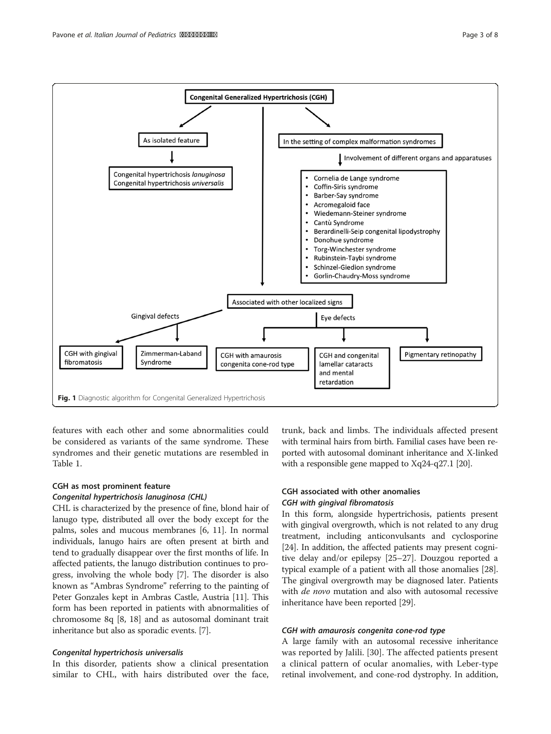

<span id="page-2-0"></span>

features with each other and some abnormalities could be considered as variants of the same syndrome. These syndromes and their genetic mutations are resembled in Table [1.](#page-3-0)

# CGH as most prominent feature Congenital hypertrichosis lanuginosa (CHL)

CHL is characterized by the presence of fine, blond hair of lanugo type, distributed all over the body except for the palms, soles and mucous membranes [[6, 11\]](#page-6-0). In normal individuals, lanugo hairs are often present at birth and tend to gradually disappear over the first months of life. In affected patients, the lanugo distribution continues to progress, involving the whole body [\[7\]](#page-6-0). The disorder is also known as "Ambras Syndrome" referring to the painting of Peter Gonzales kept in Ambras Castle, Austria [\[11](#page-6-0)]. This form has been reported in patients with abnormalities of chromosome 8q [\[8](#page-6-0), [18\]](#page-6-0) and as autosomal dominant trait inheritance but also as sporadic events. [\[7\]](#page-6-0).

# Congenital hypertrichosis universalis

In this disorder, patients show a clinical presentation similar to CHL, with hairs distributed over the face,

trunk, back and limbs. The individuals affected present with terminal hairs from birth. Familial cases have been reported with autosomal dominant inheritance and X-linked with a responsible gene mapped to Xq24-q27.1 [\[20\]](#page-6-0).

# CGH associated with other anomalies CGH with gingival fibromatosis

In this form, alongside hypertrichosis, patients present with gingival overgrowth, which is not related to any drug treatment, including anticonvulsants and cyclosporine [[24](#page-7-0)]. In addition, the affected patients may present cognitive delay and/or epilepsy [[25](#page-7-0)–[27\]](#page-7-0). Douzgou reported a typical example of a patient with all those anomalies [[28](#page-7-0)]. The gingival overgrowth may be diagnosed later. Patients with *de novo* mutation and also with autosomal recessive inheritance have been reported [\[29](#page-7-0)].

# CGH with amaurosis congenita cone-rod type

A large family with an autosomal recessive inheritance was reported by Jalili. [[30\]](#page-7-0). The affected patients present a clinical pattern of ocular anomalies, with Leber-type retinal involvement, and cone-rod dystrophy. In addition,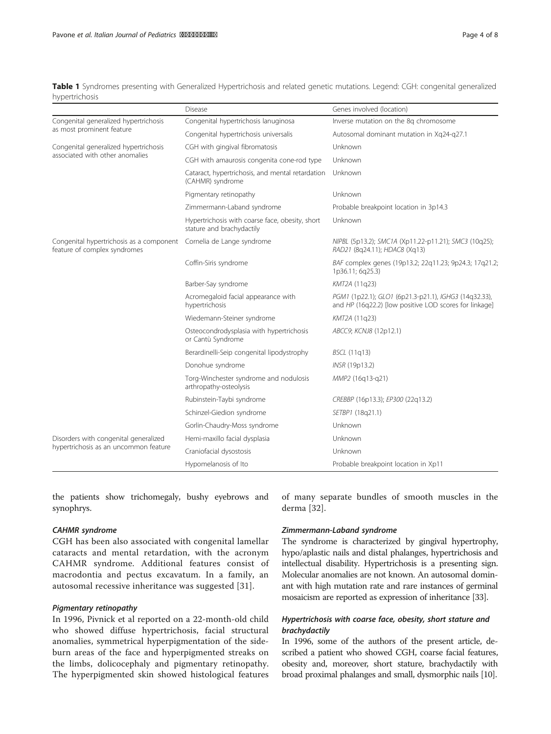<span id="page-3-0"></span>

| Table 1 Syndromes presenting with Generalized Hypertrichosis and related genetic mutations. Legend: CGH: congenital generalized |  |  |  |
|---------------------------------------------------------------------------------------------------------------------------------|--|--|--|
| hypertrichosis                                                                                                                  |  |  |  |

|                                                                                | Disease                                                                      | Genes involved (location)                                                                                       |  |
|--------------------------------------------------------------------------------|------------------------------------------------------------------------------|-----------------------------------------------------------------------------------------------------------------|--|
| Congenital generalized hypertrichosis<br>as most prominent feature             | Congenital hypertrichosis lanuginosa                                         | Inverse mutation on the 8q chromosome                                                                           |  |
|                                                                                | Congenital hypertrichosis universalis                                        | Autosomal dominant mutation in Xq24-q27.1                                                                       |  |
| Congenital generalized hypertrichosis<br>associated with other anomalies       | CGH with gingival fibromatosis                                               | Unknown                                                                                                         |  |
|                                                                                | CGH with amaurosis congenita cone-rod type                                   | Unknown                                                                                                         |  |
|                                                                                | Cataract, hypertrichosis, and mental retardation<br>(CAHMR) syndrome         | Unknown                                                                                                         |  |
|                                                                                | Pigmentary retinopathy                                                       | Unknown                                                                                                         |  |
|                                                                                | Zimmermann-Laband syndrome                                                   | Probable breakpoint location in 3p14.3                                                                          |  |
|                                                                                | Hypertrichosis with coarse face, obesity, short<br>stature and brachydactily | Unknown                                                                                                         |  |
| Congenital hypertrichosis as a component<br>feature of complex syndromes       | Cornelia de Lange syndrome                                                   | NIPBL (5p13.2); SMC1A (Xp11.22-p11.21); SMC3 (10q25);<br>RAD21 (8q24.11); HDAC8 (Xq13)                          |  |
|                                                                                | Coffin-Siris syndrome                                                        | BAF complex genes (19p13.2; 22g11.23; 9p24.3; 17g21.2;<br>1p36.11; 6q25.3)                                      |  |
|                                                                                | Barber-Say syndrome                                                          | KMT2A (11q23)                                                                                                   |  |
|                                                                                | Acromegaloid facial appearance with<br>hypertrichosis                        | PGM1 (1p22.1); GLO1 (6p21.3-p21.1), IGHG3 (14q32.33),<br>and HP (16q22.2) [low positive LOD scores for linkage] |  |
|                                                                                | Wiedemann-Steiner syndrome                                                   | KMT2A (11q23)                                                                                                   |  |
|                                                                                | Osteocondrodysplasia with hypertrichosis<br>or Cantù Syndrome                | ABCC9; KCNJ8 (12p12.1)                                                                                          |  |
|                                                                                | Berardinelli-Seip congenital lipodystrophy                                   | <b>BSCL (11g13)</b>                                                                                             |  |
|                                                                                | Donohue syndrome                                                             | INSR (19p13.2)                                                                                                  |  |
|                                                                                | Torg-Winchester syndrome and nodulosis<br>arthropathy-osteolysis             | MMP2 (16q13-q21)                                                                                                |  |
|                                                                                | Rubinstein-Taybi syndrome                                                    | CREBBP (16p13.3); EP300 (22q13.2)                                                                               |  |
|                                                                                | Schinzel-Giedion syndrome                                                    | SETBP1 (18q21.1)                                                                                                |  |
|                                                                                | Gorlin-Chaudry-Moss syndrome                                                 | Unknown                                                                                                         |  |
| Disorders with congenital generalized<br>hypertrichosis as an uncommon feature | Hemi-maxillo facial dysplasia                                                | Unknown                                                                                                         |  |
|                                                                                | Craniofacial dysostosis                                                      | Unknown                                                                                                         |  |
|                                                                                | Hypomelanosis of Ito                                                         | Probable breakpoint location in Xp11                                                                            |  |

the patients show trichomegaly, bushy eyebrows and synophrys.

# CAHMR syndrome

CGH has been also associated with congenital lamellar cataracts and mental retardation, with the acronym CAHMR syndrome. Additional features consist of macrodontia and pectus excavatum. In a family, an autosomal recessive inheritance was suggested [\[31\]](#page-7-0).

### Pigmentary retinopathy

In 1996, Pivnick et al reported on a 22-month-old child who showed diffuse hypertrichosis, facial structural anomalies, symmetrical hyperpigmentation of the sideburn areas of the face and hyperpigmented streaks on the limbs, dolicocephaly and pigmentary retinopathy. The hyperpigmented skin showed histological features

of many separate bundles of smooth muscles in the derma [[32](#page-7-0)].

#### Zimmermann-Laband syndrome

The syndrome is characterized by gingival hypertrophy, hypo/aplastic nails and distal phalanges, hypertrichosis and intellectual disability. Hypertrichosis is a presenting sign. Molecular anomalies are not known. An autosomal dominant with high mutation rate and rare instances of germinal mosaicism are reported as expression of inheritance [[33](#page-7-0)].

# Hypertrichosis with coarse face, obesity, short stature and brachydactily

In 1996, some of the authors of the present article, described a patient who showed CGH, coarse facial features, obesity and, moreover, short stature, brachydactily with broad proximal phalanges and small, dysmorphic nails [\[10](#page-6-0)].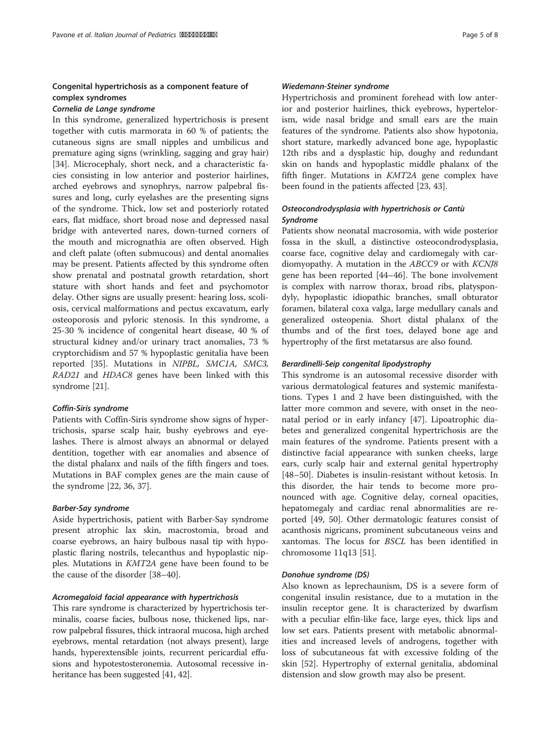# Congenital hypertrichosis as a component feature of complex syndromes

# Cornelia de Lange syndrome

In this syndrome, generalized hypertrichosis is present together with cutis marmorata in 60 % of patients; the cutaneous signs are small nipples and umbilicus and premature aging signs (wrinkling, sagging and gray hair) [[34\]](#page-7-0). Microcephaly, short neck, and a characteristic facies consisting in low anterior and posterior hairlines, arched eyebrows and synophrys, narrow palpebral fissures and long, curly eyelashes are the presenting signs of the syndrome. Thick, low set and posteriorly rotated ears, flat midface, short broad nose and depressed nasal bridge with anteverted nares, down-turned corners of the mouth and micrognathia are often observed. High and cleft palate (often submucous) and dental anomalies may be present. Patients affected by this syndrome often show prenatal and postnatal growth retardation, short stature with short hands and feet and psychomotor delay. Other signs are usually present: hearing loss, scoliosis, cervical malformations and pectus excavatum, early osteoporosis and pyloric stenosis. In this syndrome, a 25-30 % incidence of congenital heart disease, 40 % of structural kidney and/or urinary tract anomalies, 73 % cryptorchidism and 57 % hypoplastic genitalia have been reported [\[35](#page-7-0)]. Mutations in NIPBL, SMC1A, SMC3, RAD21 and HDAC8 genes have been linked with this syndrome [\[21\]](#page-6-0).

#### Coffin-Siris syndrome

Patients with Coffin-Siris syndrome show signs of hypertrichosis, sparse scalp hair, bushy eyebrows and eyelashes. There is almost always an abnormal or delayed dentition, together with ear anomalies and absence of the distal phalanx and nails of the fifth fingers and toes. Mutations in BAF complex genes are the main cause of the syndrome [[22,](#page-6-0) [36, 37](#page-7-0)].

# Barber-Say syndrome

Aside hypertrichosis, patient with Barber-Say syndrome present atrophic lax skin, macrostomia, broad and coarse eyebrows, an hairy bulbous nasal tip with hypoplastic flaring nostrils, telecanthus and hypoplastic nipples. Mutations in KMT2A gene have been found to be the cause of the disorder [\[38](#page-7-0)–[40\]](#page-7-0).

# Acromegaloid facial appearance with hypertrichosis

This rare syndrome is characterized by hypertrichosis terminalis, coarse facies, bulbous nose, thickened lips, narrow palpebral fissures, thick intraoral mucosa, high arched eyebrows, mental retardation (not always present), large hands, hyperextensible joints, recurrent pericardial effusions and hypotestosteronemia. Autosomal recessive inheritance has been suggested [\[41, 42](#page-7-0)].

#### Wiedemann-Steiner syndrome

Hypertrichosis and prominent forehead with low anterior and posterior hairlines, thick eyebrows, hypertelorism, wide nasal bridge and small ears are the main features of the syndrome. Patients also show hypotonia, short stature, markedly advanced bone age, hypoplastic 12th ribs and a dysplastic hip, doughy and redundant skin on hands and hypoplastic middle phalanx of the fifth finger. Mutations in KMT2A gene complex have been found in the patients affected [[23](#page-7-0), [43](#page-7-0)].

# Osteocondrodysplasia with hypertrichosis or Cantù Syndrome

Patients show neonatal macrosomia, with wide posterior fossa in the skull, a distinctive osteocondrodysplasia, coarse face, cognitive delay and cardiomegaly with cardiomyopathy. A mutation in the ABCC9 or with KCNJ8 gene has been reported [[44](#page-7-0)–[46](#page-7-0)]. The bone involvement is complex with narrow thorax, broad ribs, platyspondyly, hypoplastic idiopathic branches, small obturator foramen, bilateral coxa valga, large medullary canals and generalized osteopenia. Short distal phalanx of the thumbs and of the first toes, delayed bone age and hypertrophy of the first metatarsus are also found.

#### Berardinelli-Seip congenital lipodystrophy

This syndrome is an autosomal recessive disorder with various dermatological features and systemic manifestations. Types 1 and 2 have been distinguished, with the latter more common and severe, with onset in the neonatal period or in early infancy [[47](#page-7-0)]. Lipoatrophic diabetes and generalized congenital hypertrichosis are the main features of the syndrome. Patients present with a distinctive facial appearance with sunken cheeks, large ears, curly scalp hair and external genital hypertrophy [[48](#page-7-0)–[50](#page-7-0)]. Diabetes is insulin-resistant without ketosis. In this disorder, the hair tends to become more pronounced with age. Cognitive delay, corneal opacities, hepatomegaly and cardiac renal abnormalities are reported [\[49, 50](#page-7-0)]. Other dermatologic features consist of acanthosis nigricans, prominent subcutaneous veins and xantomas. The locus for BSCL has been identified in chromosome 11q13 [[51\]](#page-7-0).

#### Donohue syndrome (DS)

Also known as leprechaunism, DS is a severe form of congenital insulin resistance, due to a mutation in the insulin receptor gene. It is characterized by dwarfism with a peculiar elfin-like face, large eyes, thick lips and low set ears. Patients present with metabolic abnormalities and increased levels of androgens, together with loss of subcutaneous fat with excessive folding of the skin [[52\]](#page-7-0). Hypertrophy of external genitalia, abdominal distension and slow growth may also be present.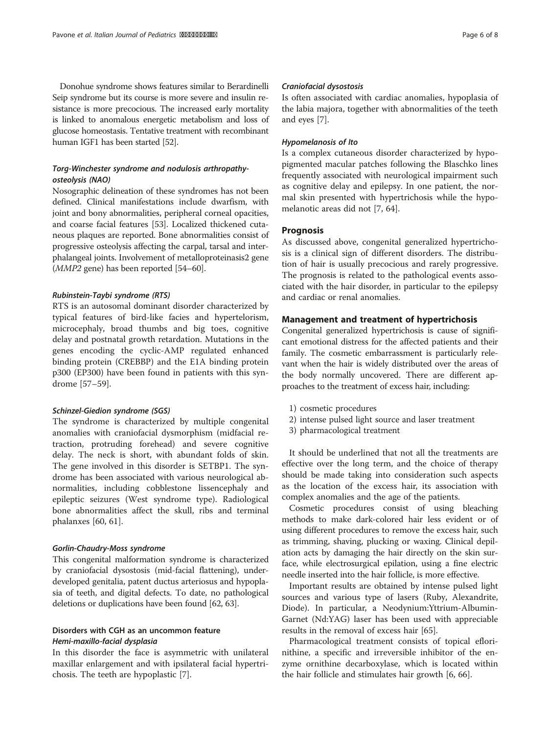Donohue syndrome shows features similar to Berardinelli Seip syndrome but its course is more severe and insulin resistance is more precocious. The increased early mortality is linked to anomalous energetic metabolism and loss of glucose homeostasis. Tentative treatment with recombinant human IGF1 has been started [\[52\]](#page-7-0).

# Torg-Winchester syndrome and nodulosis arthropathyosteolysis (NAO)

Nosographic delineation of these syndromes has not been defined. Clinical manifestations include dwarfism, with joint and bony abnormalities, peripheral corneal opacities, and coarse facial features [\[53\]](#page-7-0). Localized thickened cutaneous plaques are reported. Bone abnormalities consist of progressive osteolysis affecting the carpal, tarsal and interphalangeal joints. Involvement of metalloproteinasis2 gene (MMP2 gene) has been reported [\[54](#page-7-0)–[60](#page-7-0)].

#### Rubinstein-Taybi syndrome (RTS)

RTS is an autosomal dominant disorder characterized by typical features of bird-like facies and hypertelorism, microcephaly, broad thumbs and big toes, cognitive delay and postnatal growth retardation. Mutations in the genes encoding the cyclic-AMP regulated enhanced binding protein (CREBBP) and the E1A binding protein p300 (EP300) have been found in patients with this syndrome [\[57](#page-7-0)–[59\]](#page-7-0).

### Schinzel-Giedion syndrome (SGS)

The syndrome is characterized by multiple congenital anomalies with craniofacial dysmorphism (midfacial retraction, protruding forehead) and severe cognitive delay. The neck is short, with abundant folds of skin. The gene involved in this disorder is SETBP1. The syndrome has been associated with various neurological abnormalities, including cobblestone lissencephaly and epileptic seizures (West syndrome type). Radiological bone abnormalities affect the skull, ribs and terminal phalanxes [\[60, 61\]](#page-7-0).

#### Gorlin-Chaudry-Moss syndrome

This congenital malformation syndrome is characterized by craniofacial dysostosis (mid-facial flattening), underdeveloped genitalia, patent ductus arteriosus and hypoplasia of teeth, and digital defects. To date, no pathological deletions or duplications have been found [\[62, 63](#page-7-0)].

# Disorders with CGH as an uncommon feature Hemi-maxillo-facial dysplasia

In this disorder the face is asymmetric with unilateral maxillar enlargement and with ipsilateral facial hypertrichosis. The teeth are hypoplastic [[7\]](#page-6-0).

#### Craniofacial dysostosis

Is often associated with cardiac anomalies, hypoplasia of the labia majora, together with abnormalities of the teeth and eyes [[7\]](#page-6-0).

#### Hypomelanosis of Ito

Is a complex cutaneous disorder characterized by hypopigmented macular patches following the Blaschko lines frequently associated with neurological impairment such as cognitive delay and epilepsy. In one patient, the normal skin presented with hypertrichosis while the hypomelanotic areas did not [\[7](#page-6-0), [64](#page-7-0)].

# **Prognosis**

As discussed above, congenital generalized hypertrichosis is a clinical sign of different disorders. The distribution of hair is usually precocious and rarely progressive. The prognosis is related to the pathological events associated with the hair disorder, in particular to the epilepsy and cardiac or renal anomalies.

#### Management and treatment of hypertrichosis

Congenital generalized hypertrichosis is cause of significant emotional distress for the affected patients and their family. The cosmetic embarrassment is particularly relevant when the hair is widely distributed over the areas of the body normally uncovered. There are different approaches to the treatment of excess hair, including:

- 1) cosmetic procedures
- 2) intense pulsed light source and laser treatment
- 3) pharmacological treatment

It should be underlined that not all the treatments are effective over the long term, and the choice of therapy should be made taking into consideration such aspects as the location of the excess hair, its association with complex anomalies and the age of the patients.

Cosmetic procedures consist of using bleaching methods to make dark-colored hair less evident or of using different procedures to remove the excess hair, such as trimming, shaving, plucking or waxing. Clinical depilation acts by damaging the hair directly on the skin surface, while electrosurgical epilation, using a fine electric needle inserted into the hair follicle, is more effective.

Important results are obtained by intense pulsed light sources and various type of lasers (Ruby, Alexandrite, Diode). In particular, a Neodynium:Yttrium-Albumin-Garnet (Nd:YAG) laser has been used with appreciable results in the removal of excess hair [\[65](#page-7-0)].

Pharmacological treatment consists of topical eflorinithine, a specific and irreversible inhibitor of the enzyme ornithine decarboxylase, which is located within the hair follicle and stimulates hair growth [\[6](#page-6-0), [66](#page-7-0)].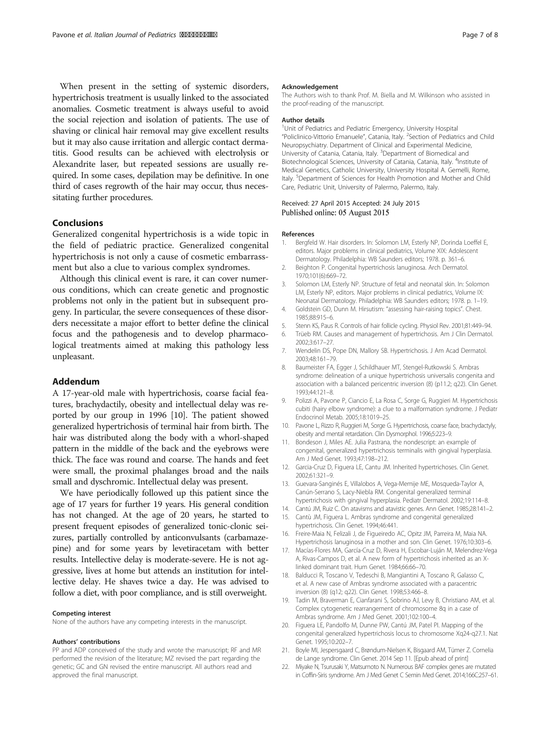<span id="page-6-0"></span>When present in the setting of systemic disorders, hypertrichosis treatment is usually linked to the associated anomalies. Cosmetic treatment is always useful to avoid the social rejection and isolation of patients. The use of shaving or clinical hair removal may give excellent results but it may also cause irritation and allergic contact dermatitis. Good results can be achieved with electrolysis or Alexandrite laser, but repeated sessions are usually required. In some cases, depilation may be definitive. In one third of cases regrowth of the hair may occur, thus necessitating further procedures.

# Conclusions

Generalized congenital hypertrichosis is a wide topic in the field of pediatric practice. Generalized congenital hypertrichosis is not only a cause of cosmetic embarrassment but also a clue to various complex syndromes.

Although this clinical event is rare, it can cover numerous conditions, which can create genetic and prognostic problems not only in the patient but in subsequent progeny. In particular, the severe consequences of these disorders necessitate a major effort to better define the clinical focus and the pathogenesis and to develop pharmacological treatments aimed at making this pathology less unpleasant.

#### Addendum

A 17-year-old male with hypertrichosis, coarse facial features, brachydactily, obesity and intellectual delay was reported by our group in 1996 [10]. The patient showed generalized hypertrichosis of terminal hair from birth. The hair was distributed along the body with a whorl-shaped pattern in the middle of the back and the eyebrows were thick. The face was round and coarse. The hands and feet were small, the proximal phalanges broad and the nails small and dyschromic. Intellectual delay was present.

We have periodically followed up this patient since the age of 17 years for further 19 years. His general condition has not changed. At the age of 20 years, he started to present frequent episodes of generalized tonic-clonic seizures, partially controlled by anticonvulsants (carbamazepine) and for some years by levetiracetam with better results. Intellective delay is moderate-severe. He is not aggressive, lives at home but attends an institution for intellective delay. He shaves twice a day. He was advised to follow a diet, with poor compliance, and is still overweight.

#### Competing interest

None of the authors have any competing interests in the manuscript.

#### Authors' contributions

PP and ADP conceived of the study and wrote the manuscript; RF and MR performed the revision of the literature; MZ revised the part regarding the genetic; GC and GN revised the entire manuscript. All authors read and approved the final manuscript.

#### Acknowledgement

The Authors wish to thank Prof. M. Biella and M. Wilkinson who assisted in the proof-reading of the manuscript.

#### Author details

<sup>1</sup>Unit of Pediatrics and Pediatric Emergency, University Hospital "Policlinico-Vittorio Emanuele", Catania, Italy. <sup>2</sup>Section of Pediatrics and Child Neuropsychiatry. Department of Clinical and Experimental Medicine, University of Catania, Catania, Italy. <sup>3</sup>Department of Biomedical and Biotechnological Sciences, University of Catania, Catania, Italy. <sup>4</sup>Institute of Medical Genetics, Catholic University, University Hospital A. Gemelli, Rome, Italy. <sup>5</sup>Department of Sciences for Health Promotion and Mother and Child Care, Pediatric Unit, University of Palermo, Palermo, Italy.

#### Received: 27 April 2015 Accepted: 24 July 2015 Published online: 05 August 2015

#### References

- 1. Bergfeld W. Hair disorders. In: Solomon LM, Esterly NP, Dorinda Loeffel E, editors. Major problems in clinical pediatrics, Volume XIX: Adolescent Dermatology. Philadelphia: WB Saunders editors; 1978. p. 361–6.
- 2. Beighton P. Congenital hypertrichosis lanuginosa. Arch Dermatol. 1970;101(6):669–72.
- 3. Solomon LM, Esterly NP. Structure of fetal and neonatal skin. In: Solomon LM, Esterly NP, editors. Major problems in clinical pediatrics, Volume IX: Neonatal Dermatology. Philadelphia: WB Saunders editors; 1978. p. 1–19.
- 4. Goldstein GD, Dunn M. Hirsutism: "assessing hair-raising topics". Chest. 1985;88:915–6.
- 5. Stenn KS, Paus R. Controls of hair follicle cycling. Physiol Rev. 2001;81:449–94.
- 6. Trüeb RM. Causes and management of hypertrichosis. Am J Clin Dermatol. 2002;3:617–27.
- 7. Wendelin DS, Pope DN, Mallory SB. Hypertrichosis. J Am Acad Dermatol. 2003;48:161–79.
- 8. Baumeister FA, Egger J, Schildhauer MT, Stengel-Rutkowski S. Ambras syndrome: delineation of a unique hypertrichosis universalis congenita and association with a balanced pericentric inversion (8) (p11.2; q22). Clin Genet. 1993;44:121–8.
- 9. Polizzi A, Pavone P, Ciancio E, La Rosa C, Sorge G, Ruggieri M. Hypertrichosis cubiti (hairy elbow syndrome): a clue to a malformation syndrome. J Pediatr Endocrinol Metab. 2005;18:1019–25.
- 10. Pavone L, Rizzo R, Ruggieri M, Sorge G. Hypertrichosis, coarse face, brachydactyly, obesity and mental retardation. Clin Dysmorphol. 1996;5:223–9.
- 11. Bondeson J, Miles AE. Julia Pastrana, the nondescript: an example of congenital, generalized hypertrichosis terminalis with gingival hyperplasia. Am J Med Genet. 1993;47:198–212.
- 12. Garcia-Cruz D, Figuera LE, Cantu JM. Inherited hypertrichoses. Clin Genet. 2002;61:321–9.
- 13. Guevara-Sanginés E, Villalobos A, Vega-Memije ME, Mosqueda-Taylor A, Canún-Serrano S, Lacy-Niebla RM. Congenital generalized terminal hypertrichosis with gingival hyperplasia. Pediatr Dermatol. 2002;19:114–8.
- 14. Cantú JM, Ruiz C. On atavisms and atavistic genes. Ann Genet. 1985;28:141–2.
- 15. Cantù JM, Figuera L. Ambras syndrome and congenital generalized hypertrichosis. Clin Genet. 1994;46:441.
- 16. Freire-Maia N, Felizali J, de Figueiredo AC, Opitz JM, Parreira M, Maia NA. Hypertrichosis lanuginosa in a mother and son. Clin Genet. 1976;10:303–6.
- 17. Macías-Flores MA, García-Cruz D, Rivera H, Escobar-Luján M, Melendrez-Vega A, Rivas-Campos D, et al. A new form of hypertrichosis inherited as an Xlinked dominant trait. Hum Genet. 1984;66:66–70.
- 18. Balducci R, Toscano V, Tedeschi B, Mangiantini A, Toscano R, Galasso C, et al. A new case of Ambras syndrome associated with a paracentric inversion (8) (q12; q22). Clin Genet. 1998;53:466–8.
- 19. Tadin M, Braverman E, Cianfarani S, Sobrino AJ, Levy B, Christiano AM, et al. Complex cytogenetic rearrangement of chromosome 8q in a case of Ambras syndrome. Am J Med Genet. 2001;102:100–4.
- 20. Figuera LE, Pandolfo M, Dunne PW, Cantú JM, Patel PI. Mapping of the congenital generalized hypertrichosis locus to chromosome Xq24-q27.1. Nat Genet. 1995;10:202–7.
- 21. Boyle MI, Jespersgaard C, Brøndum-Nielsen K, Bisgaard AM, Tümer Z. Cornelia de Lange syndrome. Clin Genet. 2014 Sep 11. [Epub ahead of print]
- 22. Miyake N, Tsurusaki Y, Matsumoto N. Numerous BAF complex genes are mutated in Coffin-Siris syndrome. Am J Med Genet C Semin Med Genet. 2014;166C:257–61.